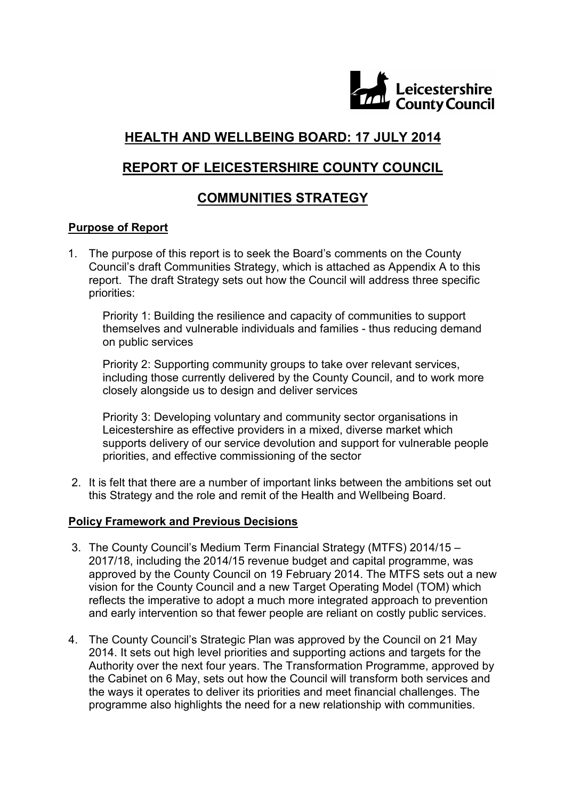

# **HEALTH AND WELLBEING BOARD: 17 JULY 2014**

# **REPORT OF LEICESTERSHIRE COUNTY COUNCIL**

# **COMMUNITIES STRATEGY**

### **Purpose of Report**

1. The purpose of this report is to seek the Board's comments on the County Council's draft Communities Strategy, which is attached as Appendix A to this report. The draft Strategy sets out how the Council will address three specific priorities:

Priority 1: Building the resilience and capacity of communities to support themselves and vulnerable individuals and families - thus reducing demand on public services

Priority 2: Supporting community groups to take over relevant services, including those currently delivered by the County Council, and to work more closely alongside us to design and deliver services

Priority 3: Developing voluntary and community sector organisations in Leicestershire as effective providers in a mixed, diverse market which supports delivery of our service devolution and support for vulnerable people priorities, and effective commissioning of the sector

2. It is felt that there are a number of important links between the ambitions set out this Strategy and the role and remit of the Health and Wellbeing Board.

#### **Policy Framework and Previous Decisions**

- 3. The County Council's Medium Term Financial Strategy (MTFS) 2014/15 2017/18, including the 2014/15 revenue budget and capital programme, was approved by the County Council on 19 February 2014. The MTFS sets out a new vision for the County Council and a new Target Operating Model (TOM) which reflects the imperative to adopt a much more integrated approach to prevention and early intervention so that fewer people are reliant on costly public services.
- 4. The County Council's Strategic Plan was approved by the Council on 21 May 2014. It sets out high level priorities and supporting actions and targets for the Authority over the next four years. The Transformation Programme, approved by the Cabinet on 6 May, sets out how the Council will transform both services and the ways it operates to deliver its priorities and meet financial challenges. The programme also highlights the need for a new relationship with communities.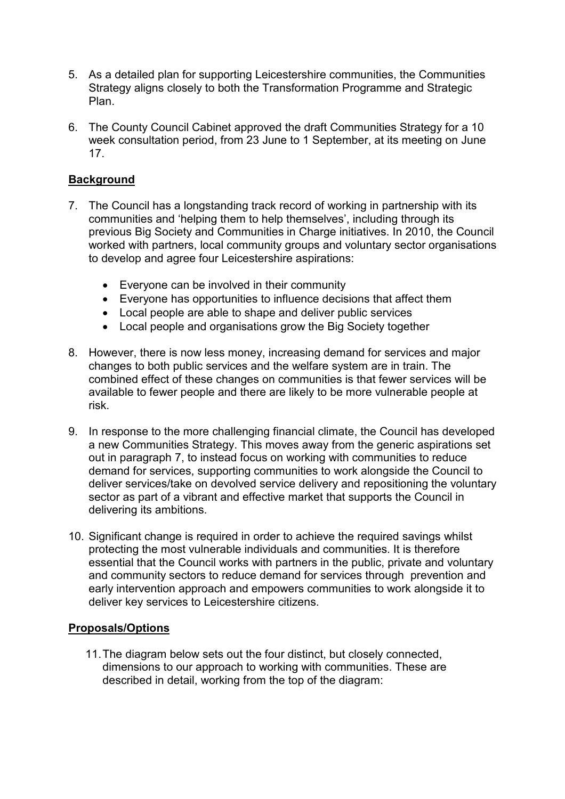- 5. As a detailed plan for supporting Leicestershire communities, the Communities Strategy aligns closely to both the Transformation Programme and Strategic Plan.
- 6. The County Council Cabinet approved the draft Communities Strategy for a 10 week consultation period, from 23 June to 1 September, at its meeting on June 17.

## **Background**

- 7. The Council has a longstanding track record of working in partnership with its communities and 'helping them to help themselves', including through its previous Big Society and Communities in Charge initiatives. In 2010, the Council worked with partners, local community groups and voluntary sector organisations to develop and agree four Leicestershire aspirations:
	- Everyone can be involved in their community
	- Everyone has opportunities to influence decisions that affect them
	- Local people are able to shape and deliver public services
	- Local people and organisations grow the Big Society together
- 8. However, there is now less money, increasing demand for services and major changes to both public services and the welfare system are in train. The combined effect of these changes on communities is that fewer services will be available to fewer people and there are likely to be more vulnerable people at risk.
- 9. In response to the more challenging financial climate, the Council has developed a new Communities Strategy. This moves away from the generic aspirations set out in paragraph 7, to instead focus on working with communities to reduce demand for services, supporting communities to work alongside the Council to deliver services/take on devolved service delivery and repositioning the voluntary sector as part of a vibrant and effective market that supports the Council in delivering its ambitions.
- 10. Significant change is required in order to achieve the required savings whilst protecting the most vulnerable individuals and communities. It is therefore essential that the Council works with partners in the public, private and voluntary and community sectors to reduce demand for services through prevention and early intervention approach and empowers communities to work alongside it to deliver key services to Leicestershire citizens.

#### **Proposals/Options**

11. The diagram below sets out the four distinct, but closely connected, dimensions to our approach to working with communities. These are described in detail, working from the top of the diagram: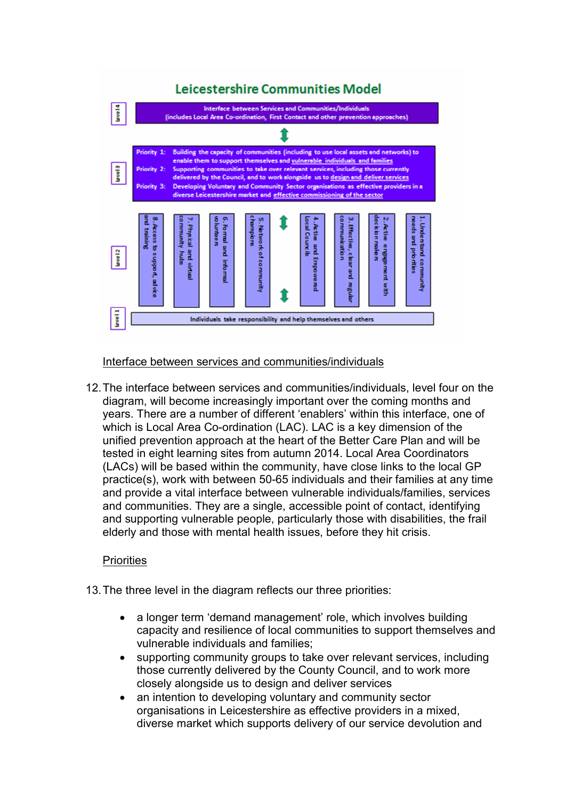# Leicestershire Communities Model



Interface between services and communities/individuals

12. The interface between services and communities/individuals, level four on the diagram, will become increasingly important over the coming months and years. There are a number of different 'enablers' within this interface, one of which is Local Area Co-ordination (LAC). LAC is a key dimension of the unified prevention approach at the heart of the Better Care Plan and will be tested in eight learning sites from autumn 2014. Local Area Coordinators (LACs) will be based within the community, have close links to the local GP practice(s), work with between 50-65 individuals and their families at any time and provide a vital interface between vulnerable individuals/families, services and communities. They are a single, accessible point of contact, identifying and supporting vulnerable people, particularly those with disabilities, the frail elderly and those with mental health issues, before they hit crisis.

#### **Priorities**

- 13. The three level in the diagram reflects our three priorities:
	- a longer term 'demand management' role, which involves building capacity and resilience of local communities to support themselves and vulnerable individuals and families;
	- supporting community groups to take over relevant services, including those currently delivered by the County Council, and to work more closely alongside us to design and deliver services
	- an intention to developing voluntary and community sector organisations in Leicestershire as effective providers in a mixed, diverse market which supports delivery of our service devolution and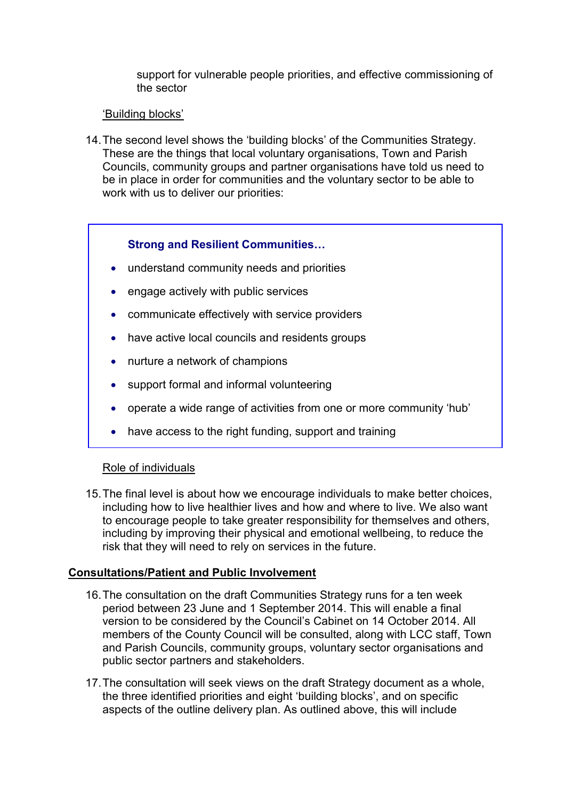support for vulnerable people priorities, and effective commissioning of the sector

#### 'Building blocks'

14. The second level shows the 'building blocks' of the Communities Strategy. These are the things that local voluntary organisations, Town and Parish Councils, community groups and partner organisations have told us need to be in place in order for communities and the voluntary sector to be able to work with us to deliver our priorities:

# **Strong and Resilient Communities…**

- understand community needs and priorities
- engage actively with public services
- communicate effectively with service providers
- have active local councils and residents groups
- nurture a network of champions
- support formal and informal volunteering
- operate a wide range of activities from one or more community 'hub'
- have access to the right funding, support and training

#### Role of individuals

15. The final level is about how we encourage individuals to make better choices, including how to live healthier lives and how and where to live. We also want to encourage people to take greater responsibility for themselves and others, including by improving their physical and emotional wellbeing, to reduce the risk that they will need to rely on services in the future.

#### **Consultations/Patient and Public Involvement**

- 16. The consultation on the draft Communities Strategy runs for a ten week period between 23 June and 1 September 2014. This will enable a final version to be considered by the Council's Cabinet on 14 October 2014. All members of the County Council will be consulted, along with LCC staff, Town and Parish Councils, community groups, voluntary sector organisations and public sector partners and stakeholders.
- 17. The consultation will seek views on the draft Strategy document as a whole, the three identified priorities and eight 'building blocks', and on specific aspects of the outline delivery plan. As outlined above, this will include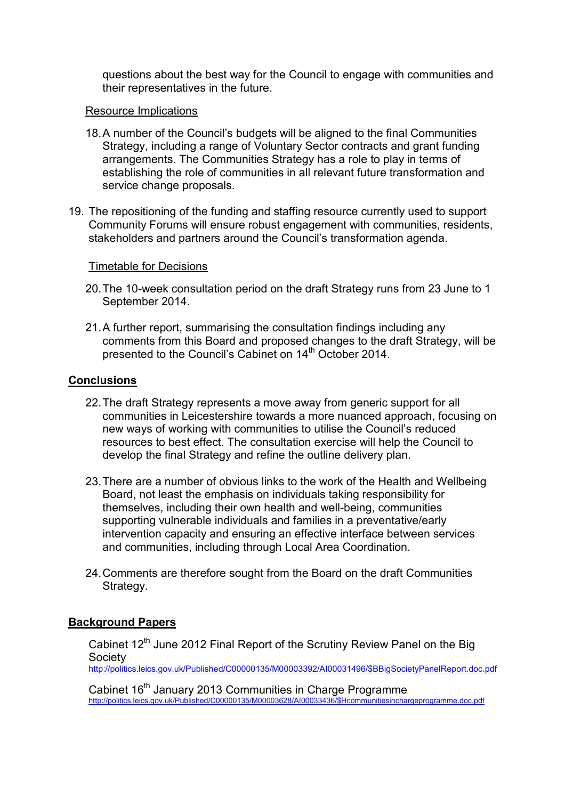questions about the best way for the Council to engage with communities and their representatives in the future.

#### Resource Implications

- 18. A number of the Council's budgets will be aligned to the final Communities Strategy, including a range of Voluntary Sector contracts and grant funding arrangements. The Communities Strategy has a role to play in terms of establishing the role of communities in all relevant future transformation and service change proposals.
- 19. The repositioning of the funding and staffing resource currently used to support Community Forums will ensure robust engagement with communities, residents, stakeholders and partners around the Council's transformation agenda.

#### Timetable for Decisions

- 20. The 10-week consultation period on the draft Strategy runs from 23 June to 1 September 2014.
- 21. A further report, summarising the consultation findings including any comments from this Board and proposed changes to the draft Strategy, will be presented to the Council's Cabinet on 14<sup>th</sup> October 2014.

#### **Conclusions**

- 22. The draft Strategy represents a move away from generic support for all communities in Leicestershire towards a more nuanced approach, focusing on new ways of working with communities to utilise the Council's reduced resources to best effect. The consultation exercise will help the Council to develop the final Strategy and refine the outline delivery plan.
- 23. There are a number of obvious links to the work of the Health and Wellbeing Board, not least the emphasis on individuals taking responsibility for themselves, including their own health and well-being, communities supporting vulnerable individuals and families in a preventative/early intervention capacity and ensuring an effective interface between services and communities, including through Local Area Coordination.
- 24. Comments are therefore sought from the Board on the draft Communities Strategy.

#### **Background Papers**

Cabinet 12<sup>th</sup> June 2012 Final Report of the Scrutiny Review Panel on the Big **Society** 

http://politics.leics.gov.uk/Published/C00000135/M00003392/AI00031496/\$BBigSocietyPanelReport.doc.pdf

Cabinet 16<sup>th</sup> January 2013 Communities in Charge Programme http://politics.leics.gov.uk/Published/C00000135/M00003628/AI00033436/\$Hcommunitiesinchargeprogramme.doc.pdf